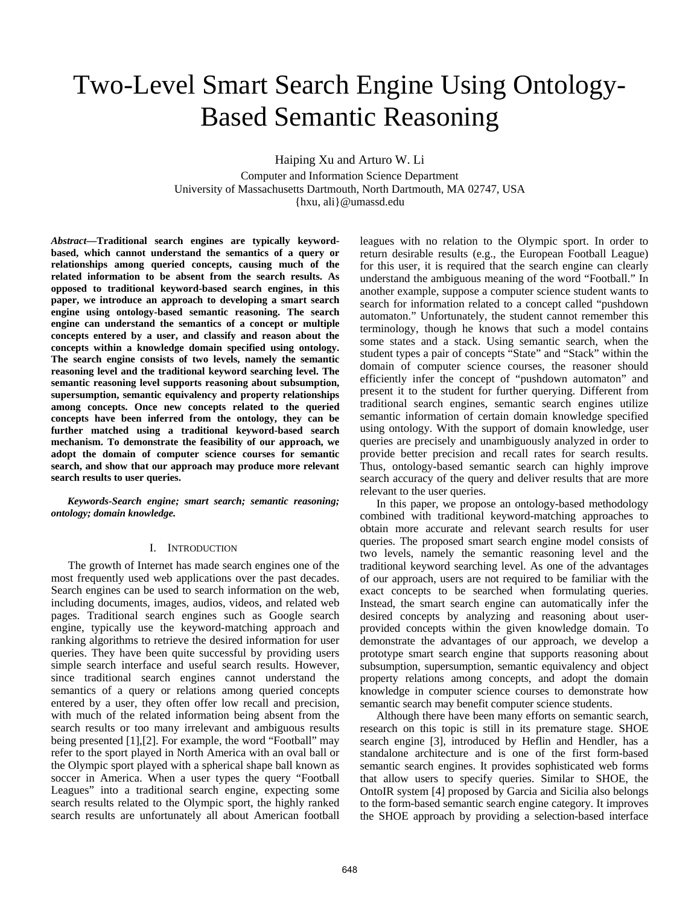# Two-Level Smart Search Engine Using Ontology-Based Semantic Reasoning

Haiping Xu and Arturo W. Li

Computer and Information Science Department University of Massachusetts Dartmouth, North Dartmouth, MA 02747, USA {hxu, ali}@umassd.edu

*Abstract***—Traditional search engines are typically keywordbased, which cannot understand the semantics of a query or relationships among queried concepts, causing much of the related information to be absent from the search results. As opposed to traditional keyword-based search engines, in this paper, we introduce an approach to developing a smart search engine using ontology-based semantic reasoning. The search engine can understand the semantics of a concept or multiple concepts entered by a user, and classify and reason about the concepts within a knowledge domain specified using ontology. The search engine consists of two levels, namely the semantic reasoning level and the traditional keyword searching level. The semantic reasoning level supports reasoning about subsumption, supersumption, semantic equivalency and property relationships among concepts. Once new concepts related to the queried concepts have been inferred from the ontology, they can be further matched using a traditional keyword-based search mechanism. To demonstrate the feasibility of our approach, we adopt the domain of computer science courses for semantic search, and show that our approach may produce more relevant search results to user queries.** 

*Keywords-Search engine; smart search; semantic reasoning; ontology; domain knowledge.* 

#### I. INTRODUCTION

The growth of Internet has made search engines one of the most frequently used web applications over the past decades. Search engines can be used to search information on the web, including documents, images, audios, videos, and related web pages. Traditional search engines such as Google search engine, typically use the keyword-matching approach and ranking algorithms to retrieve the desired information for user queries. They have been quite successful by providing users simple search interface and useful search results. However, since traditional search engines cannot understand the semantics of a query or relations among queried concepts entered by a user, they often offer low recall and precision, with much of the related information being absent from the search results or too many irrelevant and ambiguous results being presented [1],[2]. For example, the word "Football" may refer to the sport played in North America with an oval ball or the Olympic sport played with a spherical shape ball known as soccer in America. When a user types the query "Football Leagues" into a traditional search engine, expecting some search results related to the Olympic sport, the highly ranked search results are unfortunately all about American football

leagues with no relation to the Olympic sport. In order to return desirable results (e.g., the European Football League) for this user, it is required that the search engine can clearly understand the ambiguous meaning of the word "Football." In another example, suppose a computer science student wants to search for information related to a concept called "pushdown automaton." Unfortunately, the student cannot remember this terminology, though he knows that such a model contains some states and a stack. Using semantic search, when the student types a pair of concepts "State" and "Stack" within the domain of computer science courses, the reasoner should efficiently infer the concept of "pushdown automaton" and present it to the student for further querying. Different from traditional search engines, semantic search engines utilize semantic information of certain domain knowledge specified using ontology. With the support of domain knowledge, user queries are precisely and unambiguously analyzed in order to provide better precision and recall rates for search results. Thus, ontology-based semantic search can highly improve search accuracy of the query and deliver results that are more relevant to the user queries.

In this paper, we propose an ontology-based methodology combined with traditional keyword-matching approaches to obtain more accurate and relevant search results for user queries. The proposed smart search engine model consists of two levels, namely the semantic reasoning level and the traditional keyword searching level. As one of the advantages of our approach, users are not required to be familiar with the exact concepts to be searched when formulating queries. Instead, the smart search engine can automatically infer the desired concepts by analyzing and reasoning about userprovided concepts within the given knowledge domain. To demonstrate the advantages of our approach, we develop a prototype smart search engine that supports reasoning about subsumption, supersumption, semantic equivalency and object property relations among concepts, and adopt the domain knowledge in computer science courses to demonstrate how semantic search may benefit computer science students.

Although there have been many efforts on semantic search, research on this topic is still in its premature stage. SHOE search engine [3], introduced by Heflin and Hendler, has a standalone architecture and is one of the first form-based semantic search engines. It provides sophisticated web forms that allow users to specify queries. Similar to SHOE, the OntoIR system [4] proposed by Garcia and Sicilia also belongs to the form-based semantic search engine category. It improves the SHOE approach by providing a selection-based interface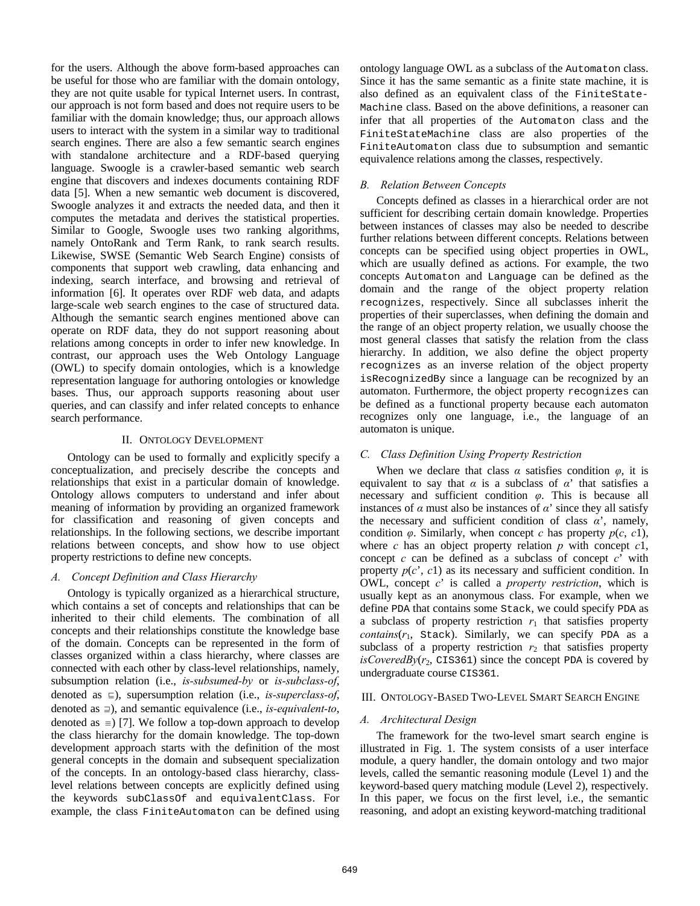for the users. Although the above form-based approaches can be useful for those who are familiar with the domain ontology, they are not quite usable for typical Internet users. In contrast, our approach is not form based and does not require users to be familiar with the domain knowledge; thus, our approach allows users to interact with the system in a similar way to traditional search engines. There are also a few semantic search engines with standalone architecture and a RDF-based querying language. Swoogle is a crawler-based semantic web search engine that discovers and indexes documents containing RDF data [5]. When a new semantic web document is discovered, Swoogle analyzes it and extracts the needed data, and then it computes the metadata and derives the statistical properties. Similar to Google, Swoogle uses two ranking algorithms, namely OntoRank and Term Rank, to rank search results. Likewise, SWSE (Semantic Web Search Engine) consists of components that support web crawling, data enhancing and indexing, search interface, and browsing and retrieval of information [6]. It operates over RDF web data, and adapts large-scale web search engines to the case of structured data. Although the semantic search engines mentioned above can operate on RDF data, they do not support reasoning about relations among concepts in order to infer new knowledge. In contrast, our approach uses the Web Ontology Language (OWL) to specify domain ontologies, which is a knowledge representation language for authoring ontologies or knowledge bases. Thus, our approach supports reasoning about user queries, and can classify and infer related concepts to enhance search performance.

### II. ONTOLOGY DEVELOPMENT

Ontology can be used to formally and explicitly specify a conceptualization, and precisely describe the concepts and relationships that exist in a particular domain of knowledge. Ontology allows computers to understand and infer about meaning of information by providing an organized framework for classification and reasoning of given concepts and relationships. In the following sections, we describe important relations between concepts, and show how to use object property restrictions to define new concepts.

## *A. Concept Definition and Class Hierarchy*

Ontology is typically organized as a hierarchical structure, which contains a set of concepts and relationships that can be inherited to their child elements. The combination of all concepts and their relationships constitute the knowledge base of the domain. Concepts can be represented in the form of classes organized within a class hierarchy, where classes are connected with each other by class-level relationships, namely, subsumption relation (i.e., *is-subsumed-by* or *is-subclass-of*, denoted as ⊑), supersumption relation (i.e., *is-superclass-of*, denoted as ⊒), and semantic equivalence (i.e., *is-equivalent-to*, denoted as  $\equiv$ ) [7]. We follow a top-down approach to develop the class hierarchy for the domain knowledge. The top-down development approach starts with the definition of the most general concepts in the domain and subsequent specialization of the concepts. In an ontology-based class hierarchy, classlevel relations between concepts are explicitly defined using the keywords subClassOf and equivalentClass. For example, the class FiniteAutomaton can be defined using

ontology language OWL as a subclass of the Automaton class. Since it has the same semantic as a finite state machine, it is also defined as an equivalent class of the FiniteState-Machine class. Based on the above definitions, a reasoner can infer that all properties of the Automaton class and the FiniteStateMachine class are also properties of the FiniteAutomaton class due to subsumption and semantic equivalence relations among the classes, respectively.

## *B. Relation Between Concepts*

Concepts defined as classes in a hierarchical order are not sufficient for describing certain domain knowledge. Properties between instances of classes may also be needed to describe further relations between different concepts. Relations between concepts can be specified using object properties in OWL, which are usually defined as actions. For example, the two concepts Automaton and Language can be defined as the domain and the range of the object property relation recognizes, respectively. Since all subclasses inherit the properties of their superclasses, when defining the domain and the range of an object property relation, we usually choose the most general classes that satisfy the relation from the class hierarchy. In addition, we also define the object property recognizes as an inverse relation of the object property isRecognizedBy since a language can be recognized by an automaton. Furthermore, the object property recognizes can be defined as a functional property because each automaton recognizes only one language, i.e., the language of an automaton is unique.

## *C. Class Definition Using Property Restriction*

When we declare that class  $\alpha$  satisfies condition  $\varphi$ , it is equivalent to say that  $\alpha$  is a subclass of  $\alpha'$  that satisfies a necessary and sufficient condition *φ*. This is because all instances of  $\alpha$  must also be instances of  $\alpha'$  since they all satisfy the necessary and sufficient condition of class  $\alpha'$ , namely, condition  $\varphi$ . Similarly, when concept *c* has property  $p(c, c1)$ , where *c* has an object property relation *p* with concept *c*1, concept *c* can be defined as a subclass of concept *c*' with property  $p(c', c_1)$  as its necessary and sufficient condition. In OWL, concept *c*' is called a *property restriction*, which is usually kept as an anonymous class. For example, when we define PDA that contains some Stack, we could specify PDA as a subclass of property restriction  $r_1$  that satisfies property *contains*(*r*1, Stack). Similarly, we can specify PDA as a subclass of a property restriction  $r_2$  that satisfies property  $isCoveredBy(r_2, CIS361)$  since the concept PDA is covered by undergraduate course CIS361.

#### III. ONTOLOGY-BASED TWO-LEVEL SMART SEARCH ENGINE

## *A. Architectural Design*

The framework for the two-level smart search engine is illustrated in Fig. 1. The system consists of a user interface module, a query handler, the domain ontology and two major levels, called the semantic reasoning module (Level 1) and the keyword-based query matching module (Level 2), respectively. In this paper, we focus on the first level, i.e., the semantic reasoning, and adopt an existing keyword-matching traditional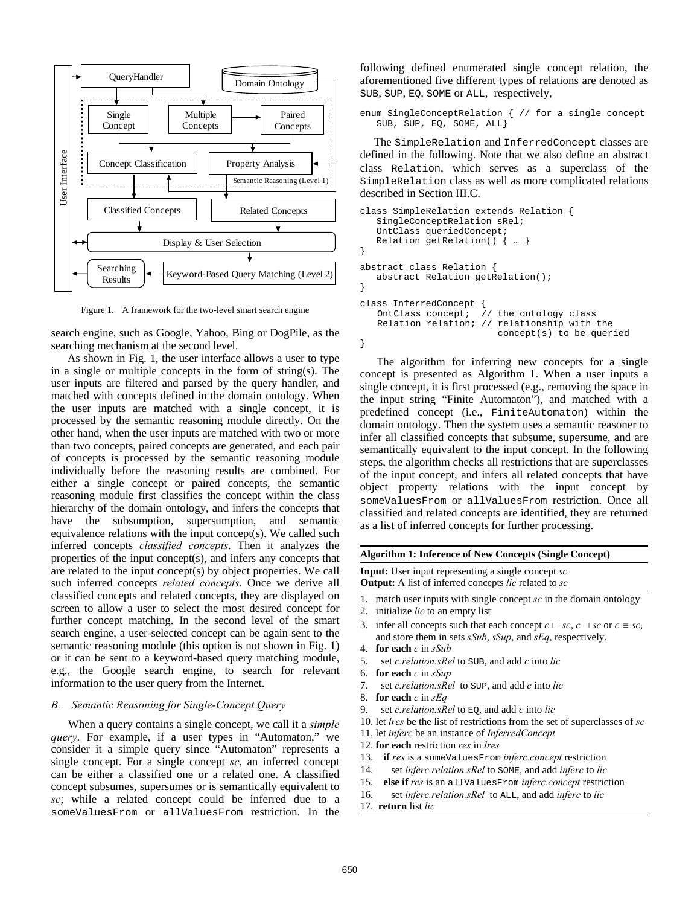

Figure 1. A framework for the two-level smart search engine

search engine, such as Google, Yahoo, Bing or DogPile, as the searching mechanism at the second level.

As shown in Fig. 1, the user interface allows a user to type in a single or multiple concepts in the form of string(s). The user inputs are filtered and parsed by the query handler, and matched with concepts defined in the domain ontology. When the user inputs are matched with a single concept, it is processed by the semantic reasoning module directly. On the other hand, when the user inputs are matched with two or more than two concepts, paired concepts are generated, and each pair of concepts is processed by the semantic reasoning module individually before the reasoning results are combined. For either a single concept or paired concepts, the semantic reasoning module first classifies the concept within the class hierarchy of the domain ontology, and infers the concepts that have the subsumption, supersumption, and semantic equivalence relations with the input concept(s). We called such inferred concepts *classified concepts*. Then it analyzes the properties of the input concept(s), and infers any concepts that are related to the input concept(s) by object properties. We call such inferred concepts *related concepts*. Once we derive all classified concepts and related concepts, they are displayed on screen to allow a user to select the most desired concept for further concept matching. In the second level of the smart search engine, a user-selected concept can be again sent to the semantic reasoning module (this option is not shown in Fig. 1) or it can be sent to a keyword-based query matching module, e.g., the Google search engine, to search for relevant information to the user query from the Internet.

## *B. Semantic Reasoning for Single-Concept Query*

When a query contains a single concept, we call it a *simple query*. For example, if a user types in "Automaton," we consider it a simple query since "Automaton" represents a single concept. For a single concept *sc*, an inferred concept can be either a classified one or a related one. A classified concept subsumes, supersumes or is semantically equivalent to *sc*; while a related concept could be inferred due to a someValuesFrom or allValuesFrom restriction. In the

following defined enumerated single concept relation, the aforementioned five different types of relations are denoted as SUB, SUP, EQ, SOME or ALL, respectively,

```
enum SingleConceptRelation { // for a single concept 
    SUB, SUP, EQ, SOME, ALL}
```
The SimpleRelation and InferredConcept classes are defined in the following. Note that we also define an abstract class Relation, which serves as a superclass of the SimpleRelation class as well as more complicated relations described in Section III.C.

```
class SimpleRelation extends Relation { 
    SingleConceptRelation sRel; 
    OntClass queriedConcept; 
    Relation getRelation() { … } 
} 
abstract class Relation { 
    abstract Relation getRelation(); 
} 
class InferredConcept<br>OntClass concept;
                           \dot{\textit{c}} (/ the ontology class
   Relation relation; // relationship with the 
                               concept(s) to be queried 
}
```
The algorithm for inferring new concepts for a single concept is presented as Algorithm 1. When a user inputs a single concept, it is first processed (e.g., removing the space in the input string "Finite Automaton"), and matched with a predefined concept (i.e., FiniteAutomaton) within the domain ontology. Then the system uses a semantic reasoner to infer all classified concepts that subsume, supersume, and are semantically equivalent to the input concept. In the following steps, the algorithm checks all restrictions that are superclasses of the input concept, and infers all related concepts that have object property relations with the input concept by someValuesFrom or allValuesFrom restriction. Once all classified and related concepts are identified, they are returned as a list of inferred concepts for further processing.

#### **Algorithm 1: Inference of New Concepts (Single Concept)**

**Input:** User input representing a single concept *sc* **Output:** A list of inferred concepts *lic* related to *sc*

- 1. match user inputs with single concept *sc* in the domain ontology
- 2. initialize *lic* to an empty list
- 3. **infer all concepts such that each concept**  $c \rvert c \rvert$  *sc*,  $c \rvert c \rvert$  *sc* or  $c \rvert s \rvert c$ , and store them in sets *sSub*, *sSup*, and *sEq*, respectively.
- 4. **for each** *c* in *sSub*
- 5. set *c.relation.sRel* to SUB, and add *c* into *lic*
- 6. **for each** *c* in *sSup*
- 7. set *c.relation.sRel* to SUP, and add *c* into *lic*
- 8. **for each** *c* in *sEq*
- 9. set *c.relation.sRel* to EQ, and add *c* into *lic*
- 10. let *lres* be the list of restrictions from the set of superclasses of *sc*
- 11. let *inferc* be an instance of *InferredConcept*
- 12. **for each** restriction *res* in *lres*
- 13. **if** *res* is a someValuesFrom *inferc.concept* restriction
- 14. set *inferc.relation.sRel* to SOME, and add *inferc* to *lic*
- 15. **else if** *res* is an allValuesFrom *inferc.concept* restriction
- 16. set *inferc.relation.sRel* to ALL, and add *inferc* to *lic*
- 17. **return** list *lic*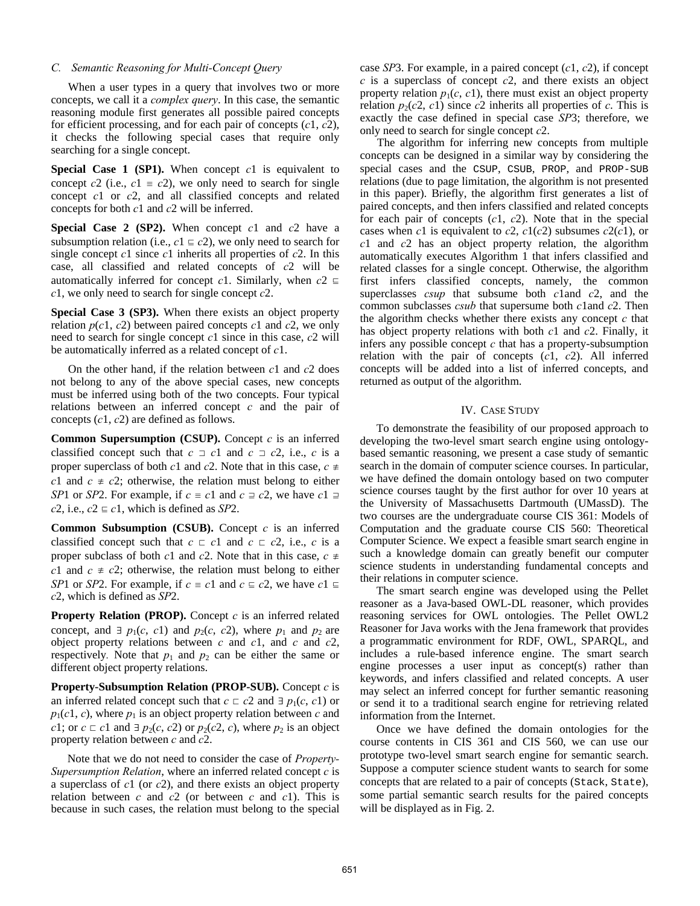#### *C. Semantic Reasoning for Multi-Concept Query*

When a user types in a query that involves two or more concepts, we call it a *complex query*. In this case, the semantic reasoning module first generates all possible paired concepts for efficient processing, and for each pair of concepts (*c*1, *c*2), it checks the following special cases that require only searching for a single concept.

**Special Case 1 (SP1).** When concept *c*1 is equivalent to concept  $c^2$  (i.e.,  $c^1 \equiv c^2$ ), we only need to search for single concept *c*1 or *c*2, and all classified concepts and related concepts for both *c*1 and *c*2 will be inferred.

**Special Case 2 (SP2).** When concept *c*1 and *c*2 have a subsumption relation (i.e.,  $c1 \n\t\equiv c2$ ), we only need to search for single concept *c*1 since *c*1 inherits all properties of *c*2. In this case, all classified and related concepts of *c*2 will be automatically inferred for concept *c*1. Similarly, when  $c2 \n\equiv$ *c*1, we only need to search for single concept *c*2.

**Special Case 3 (SP3).** When there exists an object property relation  $p(c1, c2)$  between paired concepts  $c1$  and  $c2$ , we only need to search for single concept *c*1 since in this case, *c*2 will be automatically inferred as a related concept of *c*1.

On the other hand, if the relation between *c*1 and *c*2 does not belong to any of the above special cases, new concepts must be inferred using both of the two concepts. Four typical relations between an inferred concept *c* and the pair of concepts (*c*1, *c*2) are defined as follows.

**Common Supersumption (CSUP).** Concept *c* is an inferred classified concept such that  $c \supset c1$  and  $c \supset c2$ , i.e., *c* is a proper superclass of both *c*1 and *c*2. Note that in this case,  $c \neq$ *c*1 and  $c \neq c$ 2; otherwise, the relation must belong to either *SP*1 or *SP*2. For example, if  $c \equiv c1$  and  $c \equiv c2$ , we have  $c1 \equiv c$ *c*2, i.e.,  $c2 \n\t\equiv c1$ , which is defined as *SP*2.

**Common Subsumption (CSUB).** Concept *c* is an inferred classified concept such that  $c \text{ }\sqsubset c1$  and  $c \text{ }\sqsubset c2$ , i.e., *c* is a proper subclass of both *c*1 and *c*2. Note that in this case,  $c \neq$ *c*1 and  $c \neq c$ 2; otherwise, the relation must belong to either *SP*1 or *SP*2. For example, if  $c \equiv c1$  and  $c \equiv c2$ , we have  $c1 \equiv c$ *c*2, which is defined as *SP*2.

**Property Relation (PROP).** Concept *c* is an inferred related concept, and  $\exists p_1(c, c1)$  and  $p_2(c, c2)$ , where  $p_1$  and  $p_2$  are object property relations between *c* and *c*1, and *c* and *c*2, respectively. Note that  $p_1$  and  $p_2$  can be either the same or different object property relations.

**Property-Subsumption Relation (PROP-SUB).** Concept *c* is an inferred related concept such that  $c \text{ }\subset c2$  and  $\exists p_1(c, c1)$  or  $p_1(c_1, c)$ , where  $p_1$  is an object property relation between *c* and *c*1; or  $c \text{ }\subset c1$  and  $\exists p_2(c, c2)$  or  $p_2(c2, c)$ , where  $p_2$  is an object property relation between *c* and *c*2.

Note that we do not need to consider the case of *Property-Supersumption Relation*, where an inferred related concept *c* is a superclass of *c*1 (or *c*2), and there exists an object property relation between *c* and *c*2 (or between *c* and *c*1). This is because in such cases, the relation must belong to the special

case *SP*3. For example, in a paired concept (*c*1, *c*2), if concept *c* is a superclass of concept *c*2, and there exists an object property relation  $p_1(c, c1)$ , there must exist an object property relation  $p_2(c2, c1)$  since c2 inherits all properties of c. This is exactly the case defined in special case *SP*3; therefore, we only need to search for single concept *c*2.

The algorithm for inferring new concepts from multiple concepts can be designed in a similar way by considering the special cases and the CSUP, CSUB, PROP, and PROP-SUB relations (due to page limitation, the algorithm is not presented in this paper). Briefly, the algorithm first generates a list of paired concepts, and then infers classified and related concepts for each pair of concepts (*c*1, *c*2). Note that in the special cases when *c*1 is equivalent to *c*2,  $c1(c2)$  subsumes  $c2(c1)$ , or *c*1 and *c*2 has an object property relation, the algorithm automatically executes Algorithm 1 that infers classified and related classes for a single concept. Otherwise, the algorithm first infers classified concepts, namely, the common superclasses *csup* that subsume both *c*1and *c*2, and the common subclasses *csub* that supersume both *c*1and *c*2. Then the algorithm checks whether there exists any concept *c* that has object property relations with both *c*1 and *c*2. Finally, it infers any possible concept *c* that has a property-subsumption relation with the pair of concepts (*c*1, *c*2). All inferred concepts will be added into a list of inferred concepts, and returned as output of the algorithm.

### IV. CASE STUDY

To demonstrate the feasibility of our proposed approach to developing the two-level smart search engine using ontologybased semantic reasoning, we present a case study of semantic search in the domain of computer science courses. In particular, we have defined the domain ontology based on two computer science courses taught by the first author for over 10 years at the University of Massachusetts Dartmouth (UMassD). The two courses are the undergraduate course CIS 361: Models of Computation and the graduate course CIS 560: Theoretical Computer Science. We expect a feasible smart search engine in such a knowledge domain can greatly benefit our computer science students in understanding fundamental concepts and their relations in computer science.

The smart search engine was developed using the Pellet reasoner as a Java-based OWL-DL reasoner, which provides reasoning services for OWL ontologies. The Pellet OWL2 Reasoner for Java works with the Jena framework that provides a programmatic environment for RDF, OWL, SPARQL, and includes a rule-based inference engine. The smart search engine processes a user input as concept(s) rather than keywords, and infers classified and related concepts. A user may select an inferred concept for further semantic reasoning or send it to a traditional search engine for retrieving related information from the Internet.

Once we have defined the domain ontologies for the course contents in CIS 361 and CIS 560, we can use our prototype two-level smart search engine for semantic search. Suppose a computer science student wants to search for some concepts that are related to a pair of concepts (Stack, State), some partial semantic search results for the paired concepts will be displayed as in Fig. 2.